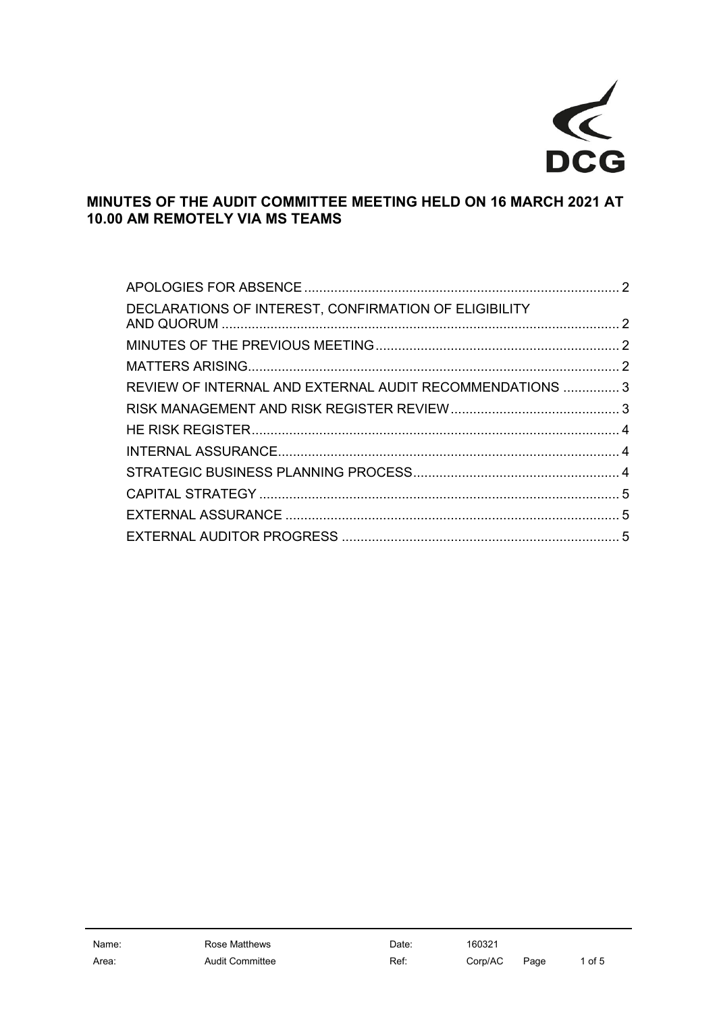

# **MINUTES OF THE AUDIT COMMITTEE MEETING HELD ON 16 MARCH 2021 AT 10.00 AM REMOTELY VIA MS TEAMS**

| DECLARATIONS OF INTEREST, CONFIRMATION OF ELIGIBILITY    |  |
|----------------------------------------------------------|--|
|                                                          |  |
|                                                          |  |
| REVIEW OF INTERNAL AND EXTERNAL AUDIT RECOMMENDATIONS  3 |  |
|                                                          |  |
|                                                          |  |
|                                                          |  |
|                                                          |  |
|                                                          |  |
|                                                          |  |
|                                                          |  |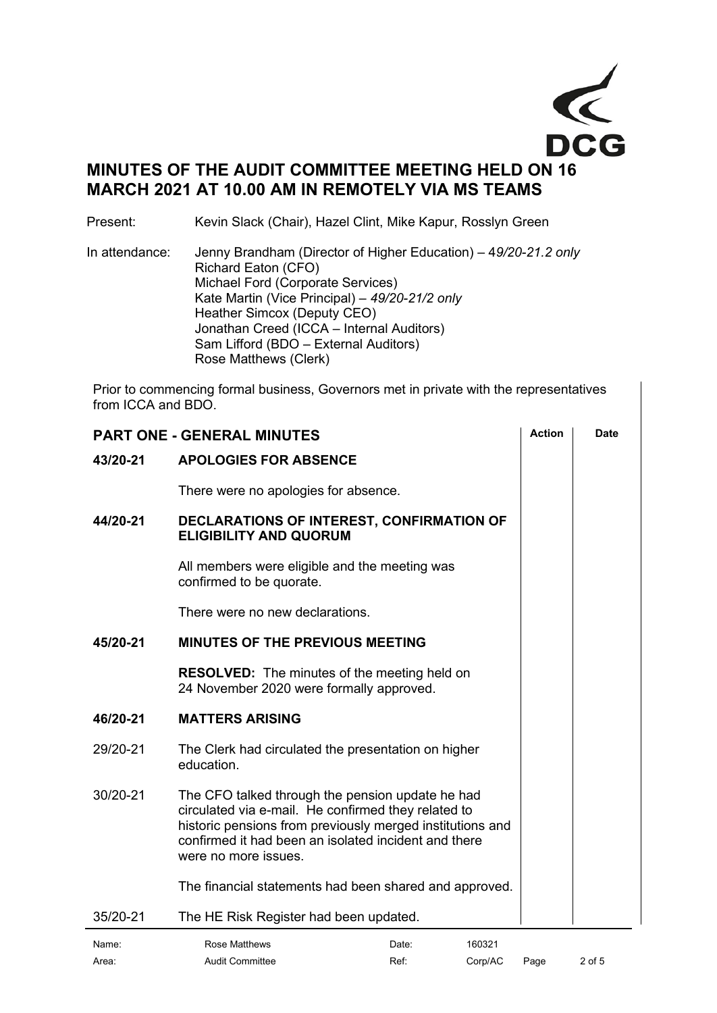

# **MINUTES OF THE AUDIT COMMITTEE MEETING HELD ON 16 MARCH 2021 AT 10.00 AM IN REMOTELY VIA MS TEAMS**

Present: Kevin Slack (Chair), Hazel Clint, Mike Kapur, Rosslyn Green

In attendance: Jenny Brandham (Director of Higher Education) – 4*9/20-21.2 only* Richard Eaton (CFO) Michael Ford (Corporate Services) Kate Martin (Vice Principal) – *49/20-21/2 only* Heather Simcox (Deputy CEO) Jonathan Creed (ICCA – Internal Auditors) Sam Lifford (BDO – External Auditors) Rose Matthews (Clerk)

Prior to commencing formal business, Governors met in private with the representatives from ICCA and BDO.

<span id="page-1-2"></span><span id="page-1-1"></span><span id="page-1-0"></span>

|          | <b>PART ONE - GENERAL MINUTES</b>                                                                                                                                                                                                                    | <b>Action</b> | Date |
|----------|------------------------------------------------------------------------------------------------------------------------------------------------------------------------------------------------------------------------------------------------------|---------------|------|
| 43/20-21 | <b>APOLOGIES FOR ABSENCE</b>                                                                                                                                                                                                                         |               |      |
|          | There were no apologies for absence.                                                                                                                                                                                                                 |               |      |
| 44/20-21 | DECLARATIONS OF INTEREST, CONFIRMATION OF<br><b>ELIGIBILITY AND QUORUM</b>                                                                                                                                                                           |               |      |
|          | All members were eligible and the meeting was<br>confirmed to be quorate.                                                                                                                                                                            |               |      |
|          | There were no new declarations.                                                                                                                                                                                                                      |               |      |
| 45/20-21 | <b>MINUTES OF THE PREVIOUS MEETING</b>                                                                                                                                                                                                               |               |      |
|          | <b>RESOLVED:</b> The minutes of the meeting held on<br>24 November 2020 were formally approved.                                                                                                                                                      |               |      |
| 46/20-21 | <b>MATTERS ARISING</b>                                                                                                                                                                                                                               |               |      |
| 29/20-21 | The Clerk had circulated the presentation on higher<br>education.                                                                                                                                                                                    |               |      |
| 30/20-21 | The CFO talked through the pension update he had<br>circulated via e-mail. He confirmed they related to<br>historic pensions from previously merged institutions and<br>confirmed it had been an isolated incident and there<br>were no more issues. |               |      |
|          | The financial statements had been shared and approved.                                                                                                                                                                                               |               |      |
| 35/20-21 | The HE Risk Register had been updated.                                                                                                                                                                                                               |               |      |
| Name:    | <b>Rose Matthews</b><br>Date:<br>160321                                                                                                                                                                                                              |               |      |

<span id="page-1-3"></span>Area: Corp/AC Page 2 of 5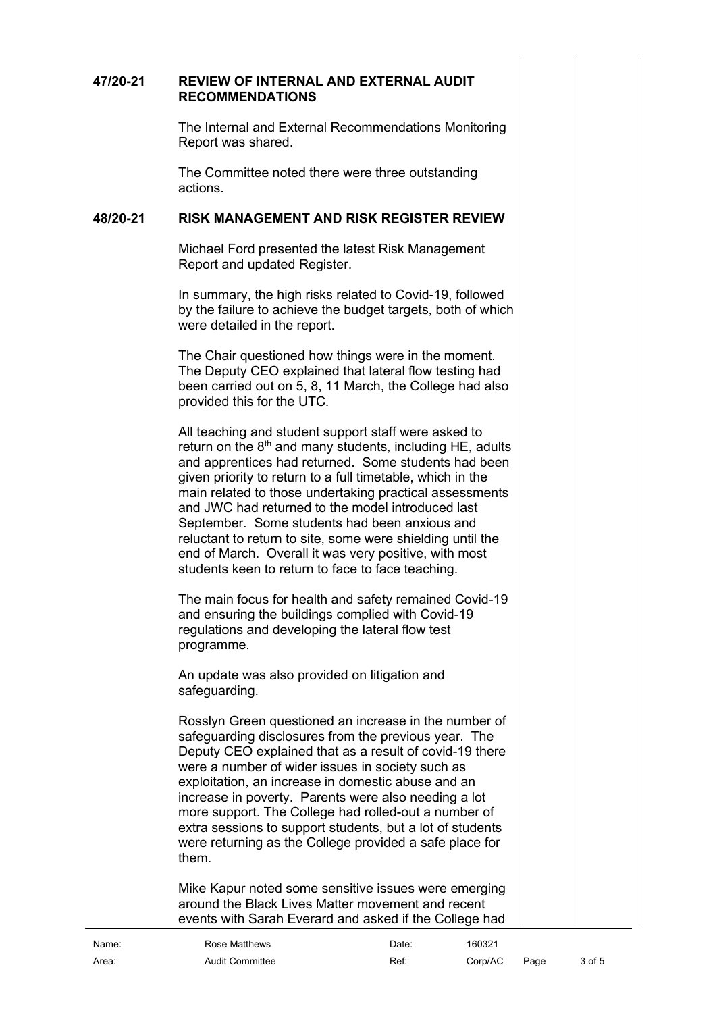#### **47/20-21 REVIEW OF INTERNAL AND EXTERNAL AUDIT RECOMMENDATIONS**

<span id="page-2-0"></span>The Internal and External Recommendations Monitoring Report was shared.

The Committee noted there were three outstanding actions.

#### **48/20-21 RISK MANAGEMENT AND RISK REGISTER REVIEW**

<span id="page-2-1"></span>Michael Ford presented the latest Risk Management Report and updated Register.

In summary, the high risks related to Covid-19, followed by the failure to achieve the budget targets, both of which were detailed in the report.

The Chair questioned how things were in the moment. The Deputy CEO explained that lateral flow testing had been carried out on 5, 8, 11 March, the College had also provided this for the UTC.

All teaching and student support staff were asked to return on the  $8<sup>th</sup>$  and many students, including HE, adults and apprentices had returned. Some students had been given priority to return to a full timetable, which in the main related to those undertaking practical assessments and JWC had returned to the model introduced last September. Some students had been anxious and reluctant to return to site, some were shielding until the end of March. Overall it was very positive, with most students keen to return to face to face teaching.

The main focus for health and safety remained Covid-19 and ensuring the buildings complied with Covid-19 regulations and developing the lateral flow test programme.

An update was also provided on litigation and safeguarding.

Rosslyn Green questioned an increase in the number of safeguarding disclosures from the previous year. The Deputy CEO explained that as a result of covid-19 there were a number of wider issues in society such as exploitation, an increase in domestic abuse and an increase in poverty. Parents were also needing a lot more support. The College had rolled-out a number of extra sessions to support students, but a lot of students were returning as the College provided a safe place for them.

Mike Kapur noted some sensitive issues were emerging around the Black Lives Matter movement and recent events with Sarah Everard and asked if the College had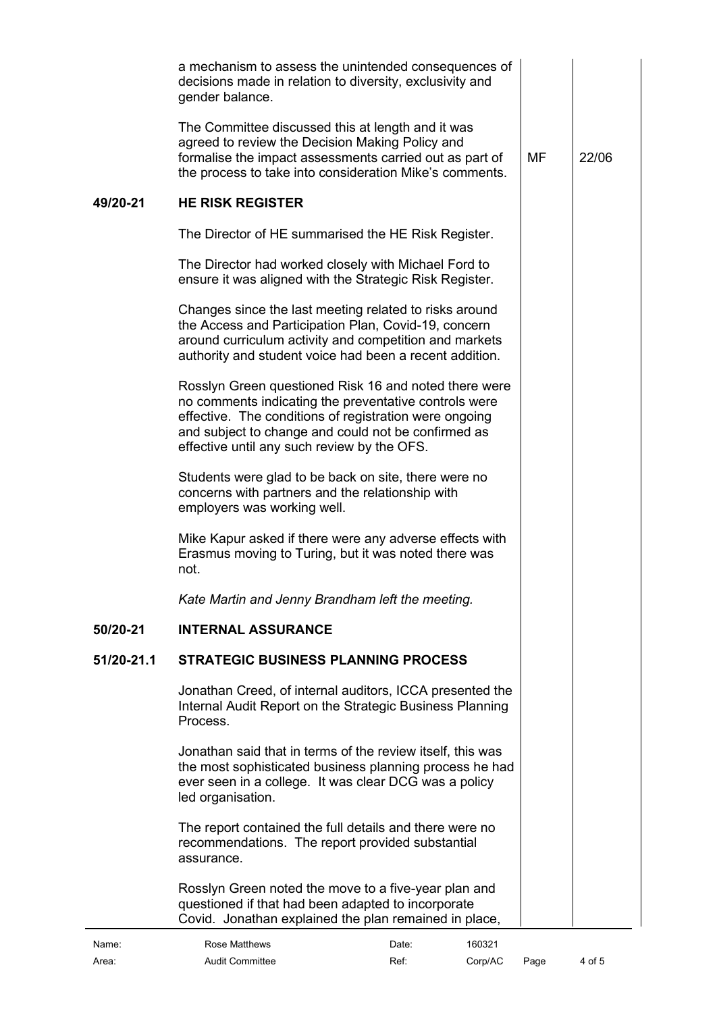<span id="page-3-2"></span><span id="page-3-1"></span><span id="page-3-0"></span>

|            | a mechanism to assess the unintended consequences of<br>decisions made in relation to diversity, exclusivity and                                                                                                                                                               |           |       |
|------------|--------------------------------------------------------------------------------------------------------------------------------------------------------------------------------------------------------------------------------------------------------------------------------|-----------|-------|
|            | gender balance.<br>The Committee discussed this at length and it was<br>agreed to review the Decision Making Policy and<br>formalise the impact assessments carried out as part of<br>the process to take into consideration Mike's comments.                                  | <b>MF</b> | 22/06 |
| 49/20-21   | <b>HE RISK REGISTER</b>                                                                                                                                                                                                                                                        |           |       |
|            | The Director of HE summarised the HE Risk Register.                                                                                                                                                                                                                            |           |       |
|            | The Director had worked closely with Michael Ford to<br>ensure it was aligned with the Strategic Risk Register.                                                                                                                                                                |           |       |
|            | Changes since the last meeting related to risks around<br>the Access and Participation Plan, Covid-19, concern<br>around curriculum activity and competition and markets<br>authority and student voice had been a recent addition.                                            |           |       |
|            | Rosslyn Green questioned Risk 16 and noted there were<br>no comments indicating the preventative controls were<br>effective. The conditions of registration were ongoing<br>and subject to change and could not be confirmed as<br>effective until any such review by the OFS. |           |       |
|            | Students were glad to be back on site, there were no<br>concerns with partners and the relationship with<br>employers was working well.                                                                                                                                        |           |       |
|            | Mike Kapur asked if there were any adverse effects with<br>Erasmus moving to Turing, but it was noted there was<br>not.                                                                                                                                                        |           |       |
|            | Kate Martin and Jenny Brandham left the meeting.                                                                                                                                                                                                                               |           |       |
| 50/20-21   | <b>INTERNAL ASSURANCE</b>                                                                                                                                                                                                                                                      |           |       |
| 51/20-21.1 | <b>STRATEGIC BUSINESS PLANNING PROCESS</b>                                                                                                                                                                                                                                     |           |       |
|            | Jonathan Creed, of internal auditors, ICCA presented the<br>Internal Audit Report on the Strategic Business Planning<br>Process.                                                                                                                                               |           |       |
|            | Jonathan said that in terms of the review itself, this was<br>the most sophisticated business planning process he had<br>ever seen in a college. It was clear DCG was a policy<br>led organisation.                                                                            |           |       |
|            | The report contained the full details and there were no<br>recommendations. The report provided substantial<br>assurance.                                                                                                                                                      |           |       |
|            | Rosslyn Green noted the move to a five-year plan and<br>questioned if that had been adapted to incorporate<br>Covid. Jonathan explained the plan remained in place,                                                                                                            |           |       |
| Name:      | 160321<br>Rose Matthews<br>Date:                                                                                                                                                                                                                                               |           |       |